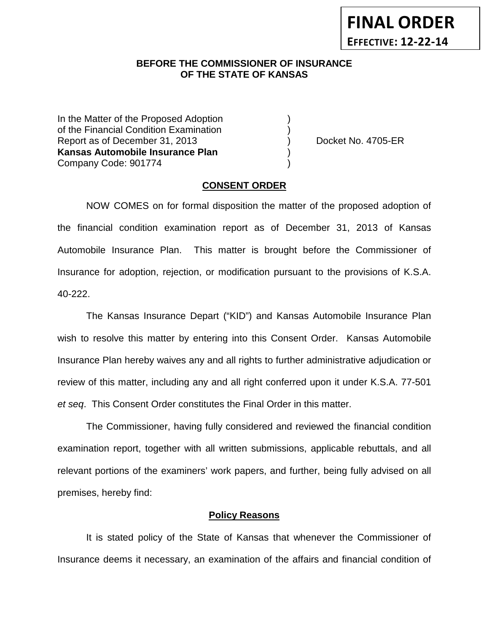## **BEFORE THE COMMISSIONER OF INSURANCE OF THE STATE OF KANSAS**

In the Matter of the Proposed Adoption of the Financial Condition Examination ) Report as of December 31, 2013 (and Separation Contract No. 4705-ER **Kansas Automobile Insurance Plan** ) Company Code: 901774 )

#### **CONSENT ORDER**

NOW COMES on for formal disposition the matter of the proposed adoption of the financial condition examination report as of December 31, 2013 of Kansas Automobile Insurance Plan. This matter is brought before the Commissioner of Insurance for adoption, rejection, or modification pursuant to the provisions of K.S.A. 40-222.

The Kansas Insurance Depart ("KID") and Kansas Automobile Insurance Plan wish to resolve this matter by entering into this Consent Order. Kansas Automobile Insurance Plan hereby waives any and all rights to further administrative adjudication or review of this matter, including any and all right conferred upon it under K.S.A. 77-501 *et seq*. This Consent Order constitutes the Final Order in this matter.

The Commissioner, having fully considered and reviewed the financial condition examination report, together with all written submissions, applicable rebuttals, and all relevant portions of the examiners' work papers, and further, being fully advised on all premises, hereby find:

#### **Policy Reasons**

It is stated policy of the State of Kansas that whenever the Commissioner of Insurance deems it necessary, an examination of the affairs and financial condition of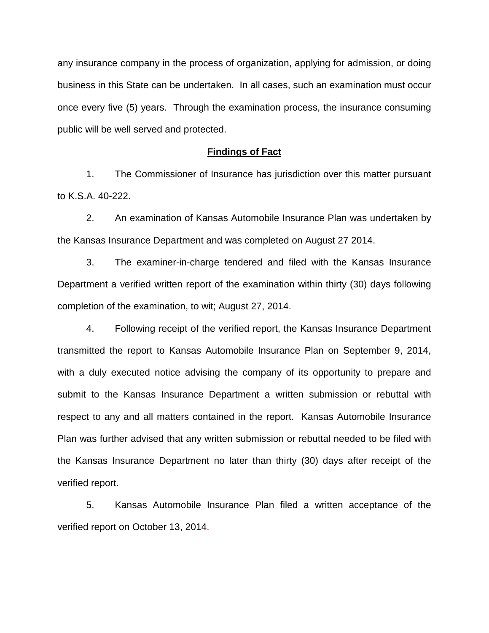any insurance company in the process of organization, applying for admission, or doing business in this State can be undertaken. In all cases, such an examination must occur once every five (5) years. Through the examination process, the insurance consuming public will be well served and protected.

#### **Findings of Fact**

1. The Commissioner of Insurance has jurisdiction over this matter pursuant to K.S.A. 40-222.

2. An examination of Kansas Automobile Insurance Plan was undertaken by the Kansas Insurance Department and was completed on August 27 2014.

3. The examiner-in-charge tendered and filed with the Kansas Insurance Department a verified written report of the examination within thirty (30) days following completion of the examination, to wit; August 27, 2014.

4. Following receipt of the verified report, the Kansas Insurance Department transmitted the report to Kansas Automobile Insurance Plan on September 9, 2014, with a duly executed notice advising the company of its opportunity to prepare and submit to the Kansas Insurance Department a written submission or rebuttal with respect to any and all matters contained in the report. Kansas Automobile Insurance Plan was further advised that any written submission or rebuttal needed to be filed with the Kansas Insurance Department no later than thirty (30) days after receipt of the verified report.

5. Kansas Automobile Insurance Plan filed a written acceptance of the verified report on October 13, 2014.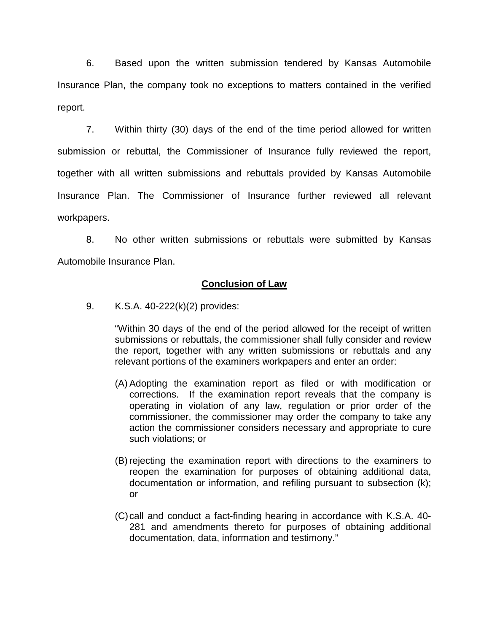6. Based upon the written submission tendered by Kansas Automobile Insurance Plan, the company took no exceptions to matters contained in the verified report.

7. Within thirty (30) days of the end of the time period allowed for written submission or rebuttal, the Commissioner of Insurance fully reviewed the report, together with all written submissions and rebuttals provided by Kansas Automobile Insurance Plan. The Commissioner of Insurance further reviewed all relevant workpapers.

8. No other written submissions or rebuttals were submitted by Kansas Automobile Insurance Plan.

## **Conclusion of Law**

9. K.S.A. 40-222(k)(2) provides:

"Within 30 days of the end of the period allowed for the receipt of written submissions or rebuttals, the commissioner shall fully consider and review the report, together with any written submissions or rebuttals and any relevant portions of the examiners workpapers and enter an order:

- (A) Adopting the examination report as filed or with modification or corrections. If the examination report reveals that the company is operating in violation of any law, regulation or prior order of the commissioner, the commissioner may order the company to take any action the commissioner considers necessary and appropriate to cure such violations; or
- (B) rejecting the examination report with directions to the examiners to reopen the examination for purposes of obtaining additional data, documentation or information, and refiling pursuant to subsection (k); or
- (C)call and conduct a fact-finding hearing in accordance with K.S.A. 40- 281 and amendments thereto for purposes of obtaining additional documentation, data, information and testimony."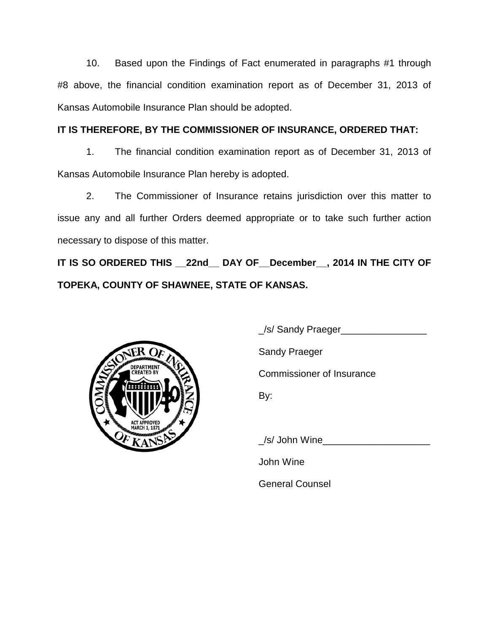10. Based upon the Findings of Fact enumerated in paragraphs #1 through #8 above, the financial condition examination report as of December 31, 2013 of Kansas Automobile Insurance Plan should be adopted.

# **IT IS THEREFORE, BY THE COMMISSIONER OF INSURANCE, ORDERED THAT:**

1. The financial condition examination report as of December 31, 2013 of Kansas Automobile Insurance Plan hereby is adopted.

2. The Commissioner of Insurance retains jurisdiction over this matter to issue any and all further Orders deemed appropriate or to take such further action necessary to dispose of this matter.

**IT IS SO ORDERED THIS \_\_22nd\_\_ DAY OF\_\_December\_\_, 2014 IN THE CITY OF TOPEKA, COUNTY OF SHAWNEE, STATE OF KANSAS.**



\_/s/ Sandy Praeger\_\_\_\_\_\_\_\_\_\_\_\_\_\_\_\_

Sandy Praeger

Commissioner of Insurance

By:

/s/ John Wine

John Wine

General Counsel